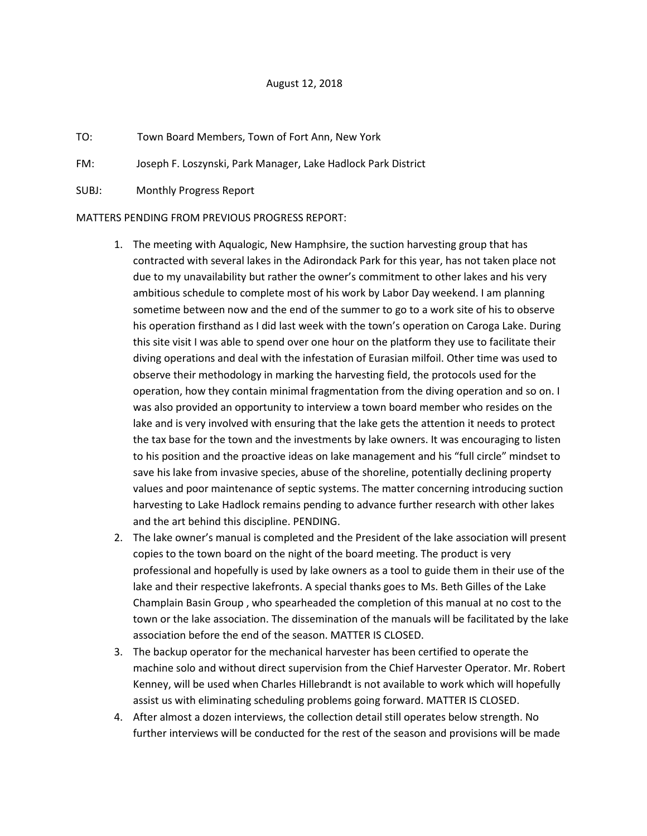## August 12, 2018

- TO: Town Board Members, Town of Fort Ann, New York
- FM: Joseph F. Loszynski, Park Manager, Lake Hadlock Park District
- SUBJ: Monthly Progress Report

## MATTERS PENDING FROM PREVIOUS PROGRESS REPORT:

- 1. The meeting with Aqualogic, New Hamphsire, the suction harvesting group that has contracted with several lakes in the Adirondack Park for this year, has not taken place not due to my unavailability but rather the owner's commitment to other lakes and his very ambitious schedule to complete most of his work by Labor Day weekend. I am planning sometime between now and the end of the summer to go to a work site of his to observe his operation firsthand as I did last week with the town's operation on Caroga Lake. During this site visit I was able to spend over one hour on the platform they use to facilitate their diving operations and deal with the infestation of Eurasian milfoil. Other time was used to observe their methodology in marking the harvesting field, the protocols used for the operation, how they contain minimal fragmentation from the diving operation and so on. I was also provided an opportunity to interview a town board member who resides on the lake and is very involved with ensuring that the lake gets the attention it needs to protect the tax base for the town and the investments by lake owners. It was encouraging to listen to his position and the proactive ideas on lake management and his "full circle" mindset to save his lake from invasive species, abuse of the shoreline, potentially declining property values and poor maintenance of septic systems. The matter concerning introducing suction harvesting to Lake Hadlock remains pending to advance further research with other lakes and the art behind this discipline. PENDING.
- 2. The lake owner's manual is completed and the President of the lake association will present copies to the town board on the night of the board meeting. The product is very professional and hopefully is used by lake owners as a tool to guide them in their use of the lake and their respective lakefronts. A special thanks goes to Ms. Beth Gilles of the Lake Champlain Basin Group , who spearheaded the completion of this manual at no cost to the town or the lake association. The dissemination of the manuals will be facilitated by the lake association before the end of the season. MATTER IS CLOSED.
- 3. The backup operator for the mechanical harvester has been certified to operate the machine solo and without direct supervision from the Chief Harvester Operator. Mr. Robert Kenney, will be used when Charles Hillebrandt is not available to work which will hopefully assist us with eliminating scheduling problems going forward. MATTER IS CLOSED.
- 4. After almost a dozen interviews, the collection detail still operates below strength. No further interviews will be conducted for the rest of the season and provisions will be made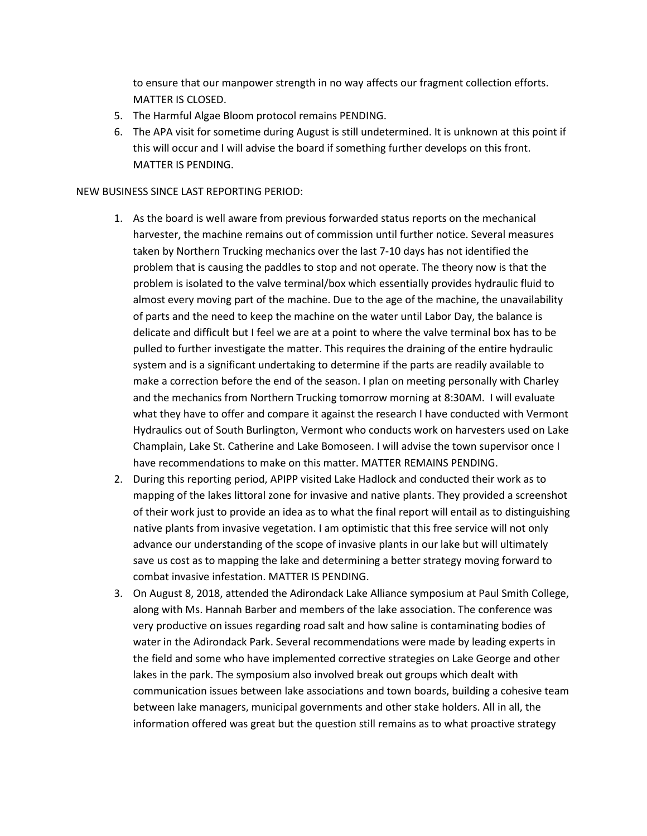to ensure that our manpower strength in no way affects our fragment collection efforts. MATTER IS CLOSED.

- 5. The Harmful Algae Bloom protocol remains PENDING.
- 6. The APA visit for sometime during August is still undetermined. It is unknown at this point if this will occur and I will advise the board if something further develops on this front. MATTER IS PENDING.

## NEW BUSINESS SINCE LAST REPORTING PERIOD:

- 1. As the board is well aware from previous forwarded status reports on the mechanical harvester, the machine remains out of commission until further notice. Several measures taken by Northern Trucking mechanics over the last 7-10 days has not identified the problem that is causing the paddles to stop and not operate. The theory now is that the problem is isolated to the valve terminal/box which essentially provides hydraulic fluid to almost every moving part of the machine. Due to the age of the machine, the unavailability of parts and the need to keep the machine on the water until Labor Day, the balance is delicate and difficult but I feel we are at a point to where the valve terminal box has to be pulled to further investigate the matter. This requires the draining of the entire hydraulic system and is a significant undertaking to determine if the parts are readily available to make a correction before the end of the season. I plan on meeting personally with Charley and the mechanics from Northern Trucking tomorrow morning at 8:30AM. I will evaluate what they have to offer and compare it against the research I have conducted with Vermont Hydraulics out of South Burlington, Vermont who conducts work on harvesters used on Lake Champlain, Lake St. Catherine and Lake Bomoseen. I will advise the town supervisor once I have recommendations to make on this matter. MATTER REMAINS PENDING.
- 2. During this reporting period, APIPP visited Lake Hadlock and conducted their work as to mapping of the lakes littoral zone for invasive and native plants. They provided a screenshot of their work just to provide an idea as to what the final report will entail as to distinguishing native plants from invasive vegetation. I am optimistic that this free service will not only advance our understanding of the scope of invasive plants in our lake but will ultimately save us cost as to mapping the lake and determining a better strategy moving forward to combat invasive infestation. MATTER IS PENDING.
- 3. On August 8, 2018, attended the Adirondack Lake Alliance symposium at Paul Smith College, along with Ms. Hannah Barber and members of the lake association. The conference was very productive on issues regarding road salt and how saline is contaminating bodies of water in the Adirondack Park. Several recommendations were made by leading experts in the field and some who have implemented corrective strategies on Lake George and other lakes in the park. The symposium also involved break out groups which dealt with communication issues between lake associations and town boards, building a cohesive team between lake managers, municipal governments and other stake holders. All in all, the information offered was great but the question still remains as to what proactive strategy